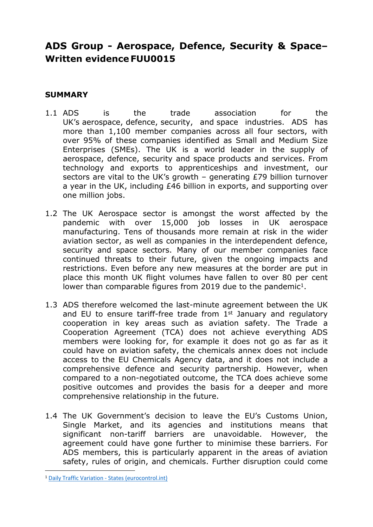# **ADS Group - Aerospace, Defence, Security & Space– Written evidence FUU0015**

# **SUMMARY**

- 1.1 ADS is the trade association for the UK's aerospace, defence, security, and space industries. ADS has more than 1,100 member companies across all four sectors, with over 95% of these companies identified as Small and Medium Size Enterprises (SMEs). The UK is a world leader in the supply of aerospace, defence, security and space products and services. From technology and exports to apprenticeships and investment, our sectors are vital to the UK's growth – generating £79 billion turnover a year in the UK, including £46 billion in exports, and supporting over one million jobs.
- 1.2 The UK Aerospace sector is amongst the worst affected by the pandemic with over 15,000 job losses in UK aerospace manufacturing. Tens of thousands more remain at risk in the wider aviation sector, as well as companies in the interdependent defence, security and space sectors. Many of our member companies face continued threats to their future, given the ongoing impacts and restrictions. Even before any new measures at the border are put in place this month UK flight volumes have fallen to over 80 per cent lower than comparable figures from 2019 due to the pandemic<sup>1</sup>.
- 1.3 ADS therefore welcomed the last-minute agreement between the UK and EU to ensure tariff-free trade from 1<sup>st</sup> January and regulatory cooperation in key areas such as aviation safety. The Trade a Cooperation Agreement (TCA) does not achieve everything ADS members were looking for, for example it does not go as far as it could have on aviation safety, the chemicals annex does not include access to the EU Chemicals Agency data, and it does not include a comprehensive defence and security partnership. However, when compared to a non-negotiated outcome, the TCA does achieve some positive outcomes and provides the basis for a deeper and more comprehensive relationship in the future.
- 1.4 The UK Government's decision to leave the EU's Customs Union, Single Market, and its agencies and institutions means that significant non-tariff barriers are unavoidable. However, the agreement could have gone further to minimise these barriers. For ADS members, this is particularly apparent in the areas of aviation safety, rules of origin, and chemicals. Further disruption could come

<sup>1</sup> [Daily](https://www.eurocontrol.int/Economics/DailyTrafficVariation-States.html) [Traffic](https://www.eurocontrol.int/Economics/DailyTrafficVariation-States.html) [Variation](https://www.eurocontrol.int/Economics/DailyTrafficVariation-States.html) [-](https://www.eurocontrol.int/Economics/DailyTrafficVariation-States.html) [States](https://www.eurocontrol.int/Economics/DailyTrafficVariation-States.html) [\(eurocontrol.int\)](https://www.eurocontrol.int/Economics/DailyTrafficVariation-States.html)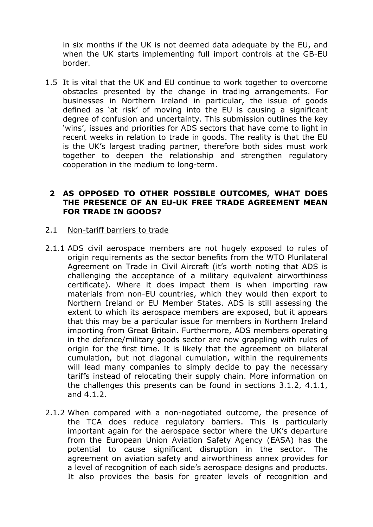in six months if the UK is not deemed data adequate by the EU, and when the UK starts implementing full import controls at the GB-EU border.

1.5 It is vital that the UK and EU continue to work together to overcome obstacles presented by the change in trading arrangements. For businesses in Northern Ireland in particular, the issue of goods defined as 'at risk' of moving into the EU is causing a significant degree of confusion and uncertainty. This submission outlines the key 'wins', issues and priorities for ADS sectors that have come to light in recent weeks in relation to trade in goods. The reality is that the EU is the UK's largest trading partner, therefore both sides must work together to deepen the relationship and strengthen regulatory cooperation in the medium to long-term.

# **2 AS OPPOSED TO OTHER POSSIBLE OUTCOMES, WHAT DOES THE PRESENCE OF AN EU-UK FREE TRADE AGREEMENT MEAN FOR TRADE IN GOODS?**

#### 2.1 Non-tariff barriers to trade

- 2.1.1 ADS civil aerospace members are not hugely exposed to rules of origin requirements as the sector benefits from the WTO Plurilateral Agreement on Trade in Civil Aircraft (it's worth noting that ADS is challenging the acceptance of a military equivalent airworthiness certificate). Where it does impact them is when importing raw materials from non-EU countries, which they would then export to Northern Ireland or EU Member States. ADS is still assessing the extent to which its aerospace members are exposed, but it appears that this may be a particular issue for members in Northern Ireland importing from Great Britain. Furthermore, ADS members operating in the defence/military goods sector are now grappling with rules of origin for the first time. It is likely that the agreement on bilateral cumulation, but not diagonal cumulation, within the requirements will lead many companies to simply decide to pay the necessary tariffs instead of relocating their supply chain. More information on the challenges this presents can be found in sections 3.1.2, 4.1.1, and 4.1.2.
- 2.1.2 When compared with a non-negotiated outcome, the presence of the TCA does reduce regulatory barriers. This is particularly important again for the aerospace sector where the UK's departure from the European Union Aviation Safety Agency (EASA) has the potential to cause significant disruption in the sector. The agreement on aviation safety and airworthiness annex provides for a level of recognition of each side's aerospace designs and products. It also provides the basis for greater levels of recognition and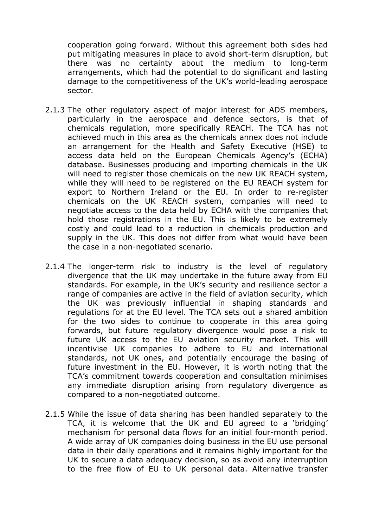cooperation going forward. Without this agreement both sides had put mitigating measures in place to avoid short-term disruption, but there was no certainty about the medium to long-term arrangements, which had the potential to do significant and lasting damage to the competitiveness of the UK's world-leading aerospace sector.

- 2.1.3 The other regulatory aspect of major interest for ADS members, particularly in the aerospace and defence sectors, is that of chemicals regulation, more specifically REACH. The TCA has not achieved much in this area as the chemicals annex does not include an arrangement for the Health and Safety Executive (HSE) to access data held on the European Chemicals Agency's (ECHA) database. Businesses producing and importing chemicals in the UK will need to register those chemicals on the new UK REACH system, while they will need to be registered on the EU REACH system for export to Northern Ireland or the EU. In order to re-register chemicals on the UK REACH system, companies will need to negotiate access to the data held by ECHA with the companies that hold those registrations in the EU. This is likely to be extremely costly and could lead to a reduction in chemicals production and supply in the UK. This does not differ from what would have been the case in a non-negotiated scenario.
- 2.1.4 The longer-term risk to industry is the level of regulatory divergence that the UK may undertake in the future away from EU standards. For example, in the UK's security and resilience sector a range of companies are active in the field of aviation security, which the UK was previously influential in shaping standards and regulations for at the EU level. The TCA sets out a shared ambition for the two sides to continue to cooperate in this area going forwards, but future regulatory divergence would pose a risk to future UK access to the EU aviation security market. This will incentivise UK companies to adhere to EU and international standards, not UK ones, and potentially encourage the basing of future investment in the EU. However, it is worth noting that the TCA's commitment towards cooperation and consultation minimises any immediate disruption arising from regulatory divergence as compared to a non-negotiated outcome.
- 2.1.5 While the issue of data sharing has been handled separately to the TCA, it is welcome that the UK and EU agreed to a 'bridging' mechanism for personal data flows for an initial four-month period. A wide array of UK companies doing business in the EU use personal data in their daily operations and it remains highly important for the UK to secure a data adequacy decision, so as avoid any interruption to the free flow of EU to UK personal data. Alternative transfer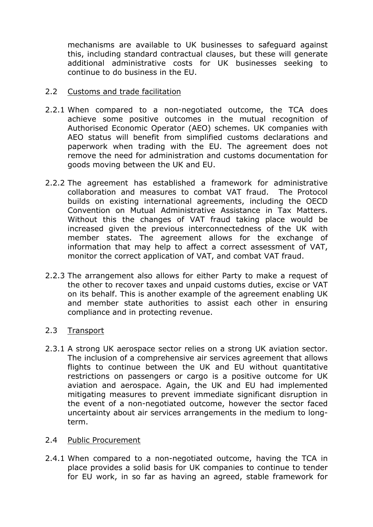mechanisms are available to UK businesses to safeguard against this, including standard contractual clauses, but these will generate additional administrative costs for UK businesses seeking to continue to do business in the EU.

# 2.2 Customs and trade facilitation

- 2.2.1 When compared to a non-negotiated outcome, the TCA does achieve some positive outcomes in the mutual recognition of Authorised Economic Operator (AEO) schemes. UK companies with AEO status will benefit from simplified customs declarations and paperwork when trading with the EU. The agreement does not remove the need for administration and customs documentation for goods moving between the UK and EU.
- 2.2.2 The agreement has established a framework for administrative collaboration and measures to combat VAT fraud. The Protocol builds on existing international agreements, including the OECD Convention on Mutual Administrative Assistance in Tax Matters. Without this the changes of VAT fraud taking place would be increased given the previous interconnectedness of the UK with member states. The agreement allows for the exchange of information that may help to affect a correct assessment of VAT, monitor the correct application of VAT, and combat VAT fraud.
- 2.2.3 The arrangement also allows for either Party to make a request of the other to recover taxes and unpaid customs duties, excise or VAT on its behalf. This is another example of the agreement enabling UK and member state authorities to assist each other in ensuring compliance and in protecting revenue.

# 2.3 Transport

2.3.1 A strong UK aerospace sector relies on a strong UK aviation sector. The inclusion of a comprehensive air services agreement that allows flights to continue between the UK and EU without quantitative restrictions on passengers or cargo is a positive outcome for UK aviation and aerospace. Again, the UK and EU had implemented mitigating measures to prevent immediate significant disruption in the event of a non-negotiated outcome, however the sector faced uncertainty about air services arrangements in the medium to longterm.

## 2.4 Public Procurement

2.4.1 When compared to a non-negotiated outcome, having the TCA in place provides a solid basis for UK companies to continue to tender for EU work, in so far as having an agreed, stable framework for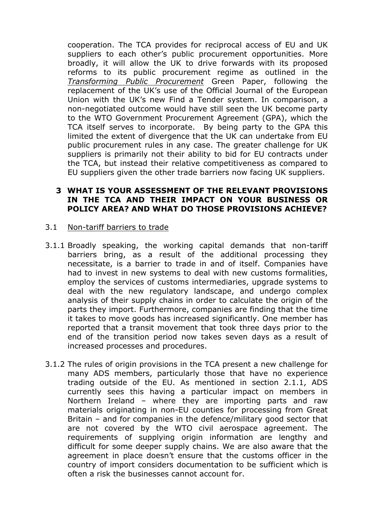cooperation. The TCA provides for reciprocal access of EU and UK suppliers to each other's public procurement opportunities. More broadly, it will allow the UK to drive forwards with its proposed reforms to its public procurement regime as outlined in the *[Transforming](https://www.gov.uk/government/consultations/green-paper-transforming-public-procurement) [Public](https://www.gov.uk/government/consultations/green-paper-transforming-public-procurement) [Procurement](https://www.gov.uk/government/consultations/green-paper-transforming-public-procurement)* Green Paper, following the replacement of the UK's use of the Official Journal of the European Union with the UK's new Find a Tender system. In comparison, a non-negotiated outcome would have still seen the UK become party to the WTO Government Procurement Agreement (GPA), which the TCA itself serves to incorporate. By being party to the GPA this limited the extent of divergence that the UK can undertake from EU public procurement rules in any case. The greater challenge for UK suppliers is primarily not their ability to bid for EU contracts under the TCA, but instead their relative competitiveness as compared to EU suppliers given the other trade barriers now facing UK suppliers.

# **3 WHAT IS YOUR ASSESSMENT OF THE RELEVANT PROVISIONS IN THE TCA AND THEIR IMPACT ON YOUR BUSINESS OR POLICY AREA? AND WHAT DO THOSE PROVISIONS ACHIEVE?**

#### 3.1 Non-tariff barriers to trade

- 3.1.1 Broadly speaking, the working capital demands that non-tariff barriers bring, as a result of the additional processing they necessitate, is a barrier to trade in and of itself. Companies have had to invest in new systems to deal with new customs formalities, employ the services of customs intermediaries, upgrade systems to deal with the new regulatory landscape, and undergo complex analysis of their supply chains in order to calculate the origin of the parts they import. Furthermore, companies are finding that the time it takes to move goods has increased significantly. One member has reported that a transit movement that took three days prior to the end of the transition period now takes seven days as a result of increased processes and procedures.
- 3.1.2 The rules of origin provisions in the TCA present a new challenge for many ADS members, particularly those that have no experience trading outside of the EU. As mentioned in section 2.1.1, ADS currently sees this having a particular impact on members in Northern Ireland – where they are importing parts and raw materials originating in non-EU counties for processing from Great Britain – and for companies in the defence/military good sector that are not covered by the WTO civil aerospace agreement. The requirements of supplying origin information are lengthy and difficult for some deeper supply chains. We are also aware that the agreement in place doesn't ensure that the customs officer in the country of import considers documentation to be sufficient which is often a risk the businesses cannot account for.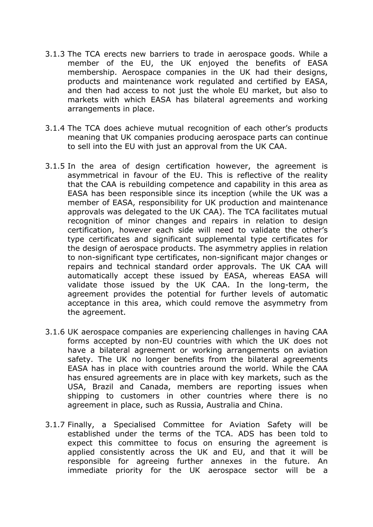- 3.1.3 The TCA erects new barriers to trade in aerospace goods. While a member of the EU, the UK enjoyed the benefits of EASA membership. Aerospace companies in the UK had their designs, products and maintenance work regulated and certified by EASA, and then had access to not just the whole EU market, but also to markets with which EASA has bilateral agreements and working arrangements in place.
- 3.1.4 The TCA does achieve mutual recognition of each other's products meaning that UK companies producing aerospace parts can continue to sell into the EU with just an approval from the UK CAA.
- 3.1.5 In the area of design certification however, the agreement is asymmetrical in favour of the EU. This is reflective of the reality that the CAA is rebuilding competence and capability in this area as EASA has been responsible since its inception (while the UK was a member of EASA, responsibility for UK production and maintenance approvals was delegated to the UK CAA). The TCA facilitates mutual recognition of minor changes and repairs in relation to design certification, however each side will need to validate the other's type certificates and significant supplemental type certificates for the design of aerospace products. The asymmetry applies in relation to non-significant type certificates, non-significant major changes or repairs and technical standard order approvals. The UK CAA will automatically accept these issued by EASA, whereas EASA will validate those issued by the UK CAA. In the long-term, the agreement provides the potential for further levels of automatic acceptance in this area, which could remove the asymmetry from the agreement.
- 3.1.6 UK aerospace companies are experiencing challenges in having CAA forms accepted by non-EU countries with which the UK does not have a bilateral agreement or working arrangements on aviation safety. The UK no longer benefits from the bilateral agreements EASA has in place with countries around the world. While the CAA has ensured agreements are in place with key markets, such as the USA, Brazil and Canada, members are reporting issues when shipping to customers in other countries where there is no agreement in place, such as Russia, Australia and China.
- 3.1.7 Finally, a Specialised Committee for Aviation Safety will be established under the terms of the TCA. ADS has been told to expect this committee to focus on ensuring the agreement is applied consistently across the UK and EU, and that it will be responsible for agreeing further annexes in the future. An immediate priority for the UK aerospace sector will be a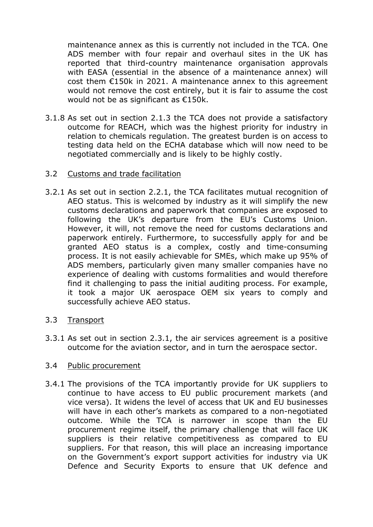maintenance annex as this is currently not included in the TCA. One ADS member with four repair and overhaul sites in the UK has reported that third-country maintenance organisation approvals with EASA (essential in the absence of a maintenance annex) will cost them €150k in 2021. A maintenance annex to this agreement would not remove the cost entirely, but it is fair to assume the cost would not be as significant as €150k.

- 3.1.8 As set out in section 2.1.3 the TCA does not provide a satisfactory outcome for REACH, which was the highest priority for industry in relation to chemicals regulation. The greatest burden is on access to testing data held on the ECHA database which will now need to be negotiated commercially and is likely to be highly costly.
- 3.2 Customs and trade facilitation
- 3.2.1 As set out in section 2.2.1, the TCA facilitates mutual recognition of AEO status. This is welcomed by industry as it will simplify the new customs declarations and paperwork that companies are exposed to following the UK's departure from the EU's Customs Union. However, it will, not remove the need for customs declarations and paperwork entirely. Furthermore, to successfully apply for and be granted AEO status is a complex, costly and time-consuming process. It is not easily achievable for SMEs, which make up 95% of ADS members, particularly given many smaller companies have no experience of dealing with customs formalities and would therefore find it challenging to pass the initial auditing process. For example, it took a major UK aerospace OEM six years to comply and successfully achieve AEO status.
- 3.3 Transport
- 3.3.1 As set out in section 2.3.1, the air services agreement is a positive outcome for the aviation sector, and in turn the aerospace sector.

## 3.4 Public procurement

3.4.1 The provisions of the TCA importantly provide for UK suppliers to continue to have access to EU public procurement markets (and vice versa). It widens the level of access that UK and EU businesses will have in each other's markets as compared to a non-negotiated outcome. While the TCA is narrower in scope than the EU procurement regime itself, the primary challenge that will face UK suppliers is their relative competitiveness as compared to EU suppliers. For that reason, this will place an increasing importance on the Government's export support activities for industry via UK Defence and Security Exports to ensure that UK defence and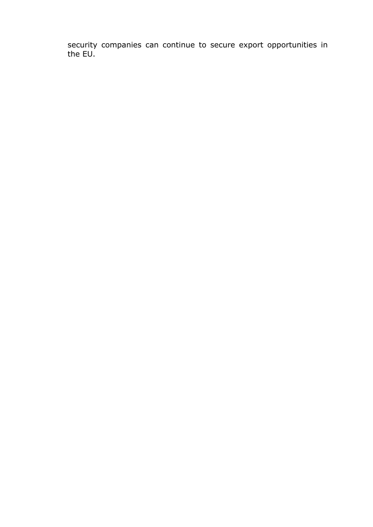security companies can continue to secure export opportunities in the EU.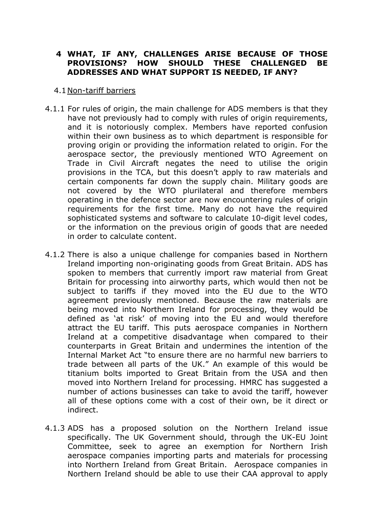# **4 WHAT, IF ANY, CHALLENGES ARISE BECAUSE OF THOSE PROVISIONS? HOW SHOULD THESE CHALLENGED BE ADDRESSES AND WHAT SUPPORT IS NEEDED, IF ANY?**

#### 4.1Non-tariff barriers

- 4.1.1 For rules of origin, the main challenge for ADS members is that they have not previously had to comply with rules of origin requirements, and it is notoriously complex. Members have reported confusion within their own business as to which department is responsible for proving origin or providing the information related to origin. For the aerospace sector, the previously mentioned WTO Agreement on Trade in Civil Aircraft negates the need to utilise the origin provisions in the TCA, but this doesn't apply to raw materials and certain components far down the supply chain. Military goods are not covered by the WTO plurilateral and therefore members operating in the defence sector are now encountering rules of origin requirements for the first time. Many do not have the required sophisticated systems and software to calculate 10-digit level codes, or the information on the previous origin of goods that are needed in order to calculate content.
- 4.1.2 There is also a unique challenge for companies based in Northern Ireland importing non-originating goods from Great Britain. ADS has spoken to members that currently import raw material from Great Britain for processing into airworthy parts, which would then not be subject to tariffs if they moved into the EU due to the WTO agreement previously mentioned. Because the raw materials are being moved into Northern Ireland for processing, they would be defined as 'at risk' of moving into the EU and would therefore attract the EU tariff. This puts aerospace companies in Northern Ireland at a competitive disadvantage when compared to their counterparts in Great Britain and undermines the intention of the Internal Market Act "to ensure there are no harmful new barriers to trade between all parts of the UK." An example of this would be titanium bolts imported to Great Britain from the USA and then moved into Northern Ireland for processing. HMRC has suggested a number of actions businesses can take to avoid the tariff, however all of these options come with a cost of their own, be it direct or indirect.
- 4.1.3 ADS has a proposed solution on the Northern Ireland issue specifically. The UK Government should, through the UK-EU Joint Committee, seek to agree an exemption for Northern Irish aerospace companies importing parts and materials for processing into Northern Ireland from Great Britain. Aerospace companies in Northern Ireland should be able to use their CAA approval to apply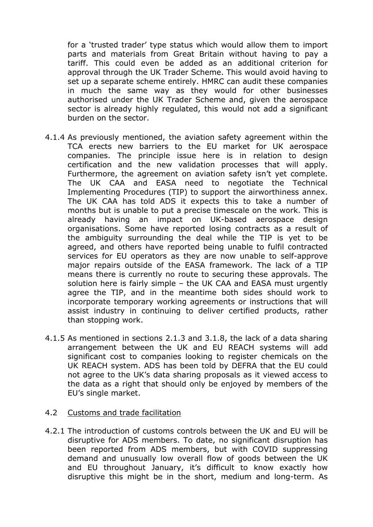for a 'trusted trader' type status which would allow them to import parts and materials from Great Britain without having to pay a tariff. This could even be added as an additional criterion for approval through the UK Trader Scheme. This would avoid having to set up a separate scheme entirely. HMRC can audit these companies in much the same way as they would for other businesses authorised under the UK Trader Scheme and, given the aerospace sector is already highly regulated, this would not add a significant burden on the sector.

- 4.1.4 As previously mentioned, the aviation safety agreement within the TCA erects new barriers to the EU market for UK aerospace companies. The principle issue here is in relation to design certification and the new validation processes that will apply. Furthermore, the agreement on aviation safety isn't yet complete. The UK CAA and EASA need to negotiate the Technical Implementing Procedures (TIP) to support the airworthiness annex. The UK CAA has told ADS it expects this to take a number of months but is unable to put a precise timescale on the work. This is already having an impact on UK-based aerospace design organisations. Some have reported losing contracts as a result of the ambiguity surrounding the deal while the TIP is yet to be agreed, and others have reported being unable to fulfil contracted services for EU operators as they are now unable to self-approve major repairs outside of the EASA framework. The lack of a TIP means there is currently no route to securing these approvals. The solution here is fairly simple – the UK CAA and EASA must urgently agree the TIP, and in the meantime both sides should work to incorporate temporary working agreements or instructions that will assist industry in continuing to deliver certified products, rather than stopping work.
- 4.1.5 As mentioned in sections 2.1.3 and 3.1.8, the lack of a data sharing arrangement between the UK and EU REACH systems will add significant cost to companies looking to register chemicals on the UK REACH system. ADS has been told by DEFRA that the EU could not agree to the UK's data sharing proposals as it viewed access to the data as a right that should only be enjoyed by members of the EU's single market.

#### 4.2 Customs and trade facilitation

4.2.1 The introduction of customs controls between the UK and EU will be disruptive for ADS members. To date, no significant disruption has been reported from ADS members, but with COVID suppressing demand and unusually low overall flow of goods between the UK and EU throughout January, it's difficult to know exactly how disruptive this might be in the short, medium and long-term. As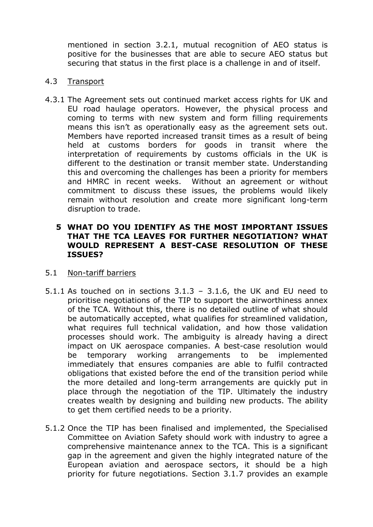mentioned in section 3.2.1, mutual recognition of AEO status is positive for the businesses that are able to secure AEO status but securing that status in the first place is a challenge in and of itself.

#### 4.3 Transport

4.3.1 The Agreement sets out continued market access rights for UK and EU road haulage operators. However, the physical process and coming to terms with new system and form filling requirements means this isn't as operationally easy as the agreement sets out. Members have reported increased transit times as a result of being held at customs borders for goods in transit where the interpretation of requirements by customs officials in the UK is different to the destination or transit member state. Understanding this and overcoming the challenges has been a priority for members and HMRC in recent weeks. Without an agreement or without commitment to discuss these issues, the problems would likely remain without resolution and create more significant long-term disruption to trade.

#### **5 WHAT DO YOU IDENTIFY AS THE MOST IMPORTANT ISSUES THAT THE TCA LEAVES FOR FURTHER NEGOTIATION? WHAT WOULD REPRESENT A BEST-CASE RESOLUTION OF THESE ISSUES?**

### 5.1 Non-tariff barriers

- 5.1.1 As touched on in sections  $3.1.3 3.1.6$ , the UK and EU need to prioritise negotiations of the TIP to support the airworthiness annex of the TCA. Without this, there is no detailed outline of what should be automatically accepted, what qualifies for streamlined validation, what requires full technical validation, and how those validation processes should work. The ambiguity is already having a direct impact on UK aerospace companies. A best-case resolution would be temporary working arrangements to be implemented immediately that ensures companies are able to fulfil contracted obligations that existed before the end of the transition period while the more detailed and long-term arrangements are quickly put in place through the negotiation of the TIP. Ultimately the industry creates wealth by designing and building new products. The ability to get them certified needs to be a priority.
- 5.1.2 Once the TIP has been finalised and implemented, the Specialised Committee on Aviation Safety should work with industry to agree a comprehensive maintenance annex to the TCA. This is a significant gap in the agreement and given the highly integrated nature of the European aviation and aerospace sectors, it should be a high priority for future negotiations. Section 3.1.7 provides an example